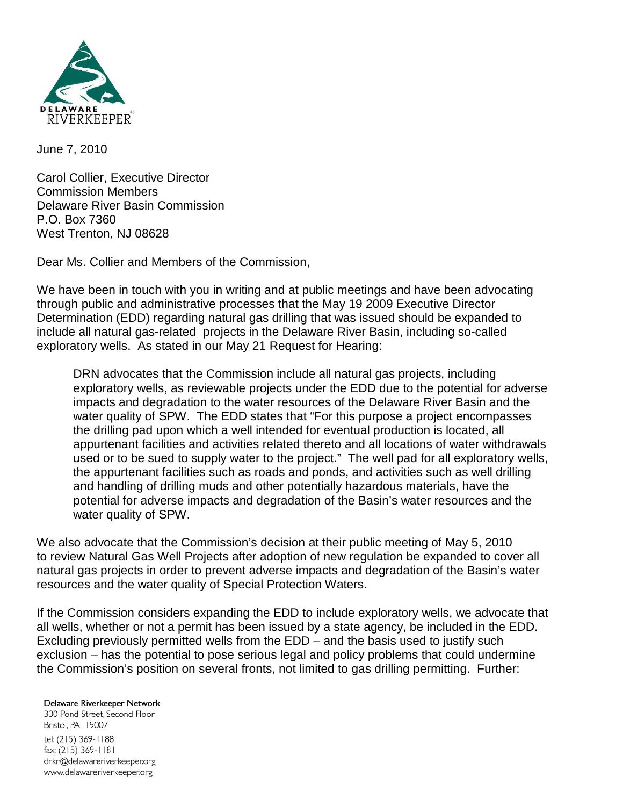

June 7, 2010

Carol Collier, Executive Director Commission Members Delaware River Basin Commission P.O. Box 7360 West Trenton, NJ 08628

Dear Ms. Collier and Members of the Commission,

We have been in touch with you in writing and at public meetings and have been advocating through public and administrative processes that the May 19 2009 Executive Director Determination (EDD) regarding natural gas drilling that was issued should be expanded to include all natural gas-related projects in the Delaware River Basin, including so-called exploratory wells. As stated in our May 21 Request for Hearing:

DRN advocates that the Commission include all natural gas projects, including exploratory wells, as reviewable projects under the EDD due to the potential for adverse impacts and degradation to the water resources of the Delaware River Basin and the water quality of SPW. The EDD states that "For this purpose a project encompasses the drilling pad upon which a well intended for eventual production is located, all appurtenant facilities and activities related thereto and all locations of water withdrawals used or to be sued to supply water to the project." The well pad for all exploratory wells, the appurtenant facilities such as roads and ponds, and activities such as well drilling and handling of drilling muds and other potentially hazardous materials, have the potential for adverse impacts and degradation of the Basin's water resources and the water quality of SPW.

We also advocate that the Commission's decision at their public meeting of May 5, 2010 to review Natural Gas Well Projects after adoption of new regulation be expanded to cover all natural gas projects in order to prevent adverse impacts and degradation of the Basin's water resources and the water quality of Special Protection Waters.

If the Commission considers expanding the EDD to include exploratory wells, we advocate that all wells, whether or not a permit has been issued by a state agency, be included in the EDD. Excluding previously permitted wells from the EDD – and the basis used to justify such exclusion – has the potential to pose serious legal and policy problems that could undermine the Commission's position on several fronts, not limited to gas drilling permitting. Further:

Delaware Riverkeeper Network 300 Pond Street, Second Floor Bristol, PA 19007 tel: (215) 369-1188 fax: (215) 369-1181 drkn@delawareriverkeeper.org www.delawareriverkeeper.org